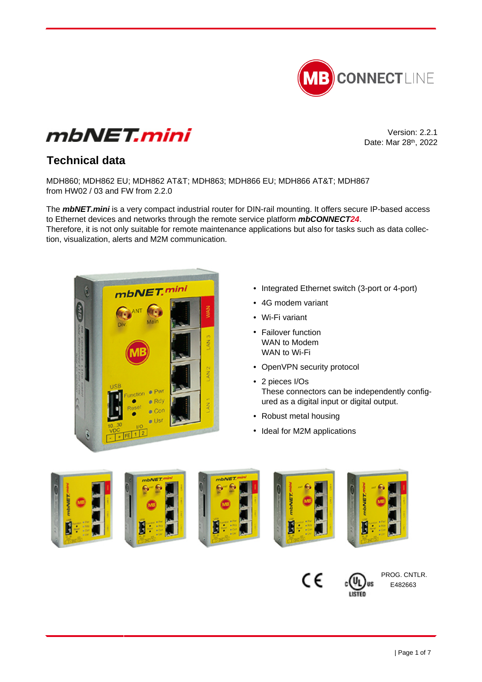



Version: 2.2.1 Date: Mar 28th, 2022

# **Technical data**

MDH860; MDH862 EU; MDH862 AT&T; MDH863; MDH866 EU; MDH866 AT&T; MDH867 from HW02 / 03 and FW from 2.2.0

The **mbNET.mini** is a very compact industrial router for DIN-rail mounting. It offers secure IP-based access to Ethernet devices and networks through the remote service platform **mbCONNECT24**. Therefore, it is not only suitable for remote maintenance applications but also for tasks such as data collection, visualization, alerts and M2M communication.



- Integrated Ethernet switch (3-port or 4-port)
- 4G modem variant
- Wi-Fi variant
- Failover function WAN to Modem WAN to Wi-Fi
- OpenVPN security protocol
- 2 pieces I/Os These connectors can be independently configured as a digital input or digital output.
- Robust metal housing
- Ideal for M2M applications





PROG. CNTLR. E482663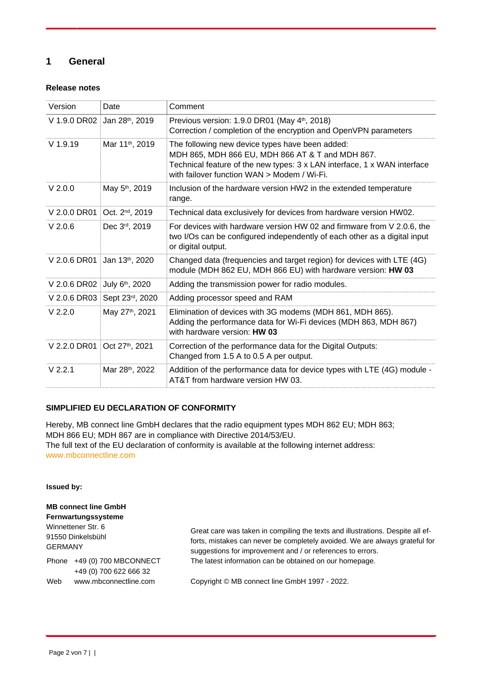# **1 General**

#### **Release notes**

| Version      | Date                        | Comment                                                                                                                                                                                                                        |
|--------------|-----------------------------|--------------------------------------------------------------------------------------------------------------------------------------------------------------------------------------------------------------------------------|
| V 1.9.0 DR02 | Jan 28th, 2019              | Previous version: 1.9.0 DR01 (May 4th, 2018)<br>Correction / completion of the encryption and OpenVPN parameters                                                                                                               |
| $V$ 1.9.19   | Mar 11 <sup>th</sup> , 2019 | The following new device types have been added:<br>MDH 865, MDH 866 EU, MDH 866 AT & T and MDH 867.<br>Technical feature of the new types: 3 x LAN interface, 1 x WAN interface<br>with failover function WAN > Modem / Wi-Fi. |
| $V$ 2.0.0    | May 5 <sup>th</sup> , 2019  | Inclusion of the hardware version HW2 in the extended temperature<br>range.                                                                                                                                                    |
| V 2.0.0 DR01 | Oct. 2 <sup>nd</sup> , 2019 | Technical data exclusively for devices from hardware version HW02.                                                                                                                                                             |
| $V$ 2.0.6    | Dec 3rd, 2019               | For devices with hardware version HW 02 and firmware from V 2.0.6, the<br>two I/Os can be configured independently of each other as a digital input<br>or digital output.                                                      |
| V 2.0.6 DR01 | Jan 13th, 2020              | Changed data (frequencies and target region) for devices with LTE (4G)<br>module (MDH 862 EU, MDH 866 EU) with hardware version: HW 03                                                                                         |
| V 2.0.6 DR02 | July 6th, 2020              | Adding the transmission power for radio modules.                                                                                                                                                                               |
| V 2.0.6 DR03 | Sept 23rd, 2020             | Adding processor speed and RAM                                                                                                                                                                                                 |
| $V$ 2.2.0    | May 27th, 2021              | Elimination of devices with 3G modems (MDH 861, MDH 865).<br>Adding the performance data for Wi-Fi devices (MDH 863, MDH 867)<br>with hardware version: HW 03                                                                  |
| V 2.2.0 DR01 | Oct 27th, 2021              | Correction of the performance data for the Digital Outputs:<br>Changed from 1.5 A to 0.5 A per output.                                                                                                                         |
| $V$ 2.2.1    | Mar 28th, 2022              | Addition of the performance data for device types with LTE (4G) module -<br>AT&T from hardware version HW 03.                                                                                                                  |

#### **SIMPLIFIED EU DECLARATION OF CONFORMITY**

Hereby, MB connect line GmbH declares that the radio equipment types MDH 862 EU; MDH 863; MDH 866 EU; MDH 867 are in compliance with Directive 2014/53/EU. The full text of the EU declaration of conformity is available at the following internet address: [www.mbconnectline.com](https://www.mbconnectline.com)

**Issued by:**

**MB connect line GmbH Fernwartungssysteme** Winnettener Str. 6 91550 Dinkelsbühl GERMANY Phone +49 (0) 700 MBCONNECT +49 (0) 700 622 666 32 Web www.mbconnectline.com Great care was taken in compiling the texts and illustrations. Despite all efforts, mistakes can never be completely avoided. We are always grateful for suggestions for improvement and / or references to errors. The latest information can be obtained on our homepage. Copyright © MB connect line GmbH 1997 - 2022.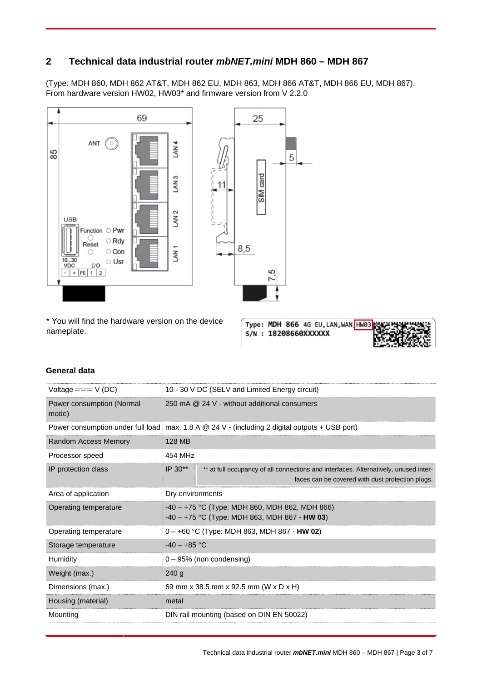# **2 Technical data industrial router mbNET.mini MDH 860 – MDH 867**

(Type: MDH 860, MDH 862 AT&T, MDH 862 EU, MDH 863, MDH 866 AT&T, MDH 866 EU, MDH 867). From hardware version HW02, HW03\* and firmware version from V 2.2.0



\* You will find the hardware version on the device nameplate.

Type: MDH 866 4G EU, LAN, WAN HW03 S/N: 18208660XXXXXX



#### **General data**

| Voltage $==-V(DC)$                 |                                                                                                     | 10 - 30 V DC (SELV and Limited Energy circuit)                                                                                           |  |
|------------------------------------|-----------------------------------------------------------------------------------------------------|------------------------------------------------------------------------------------------------------------------------------------------|--|
| Power consumption (Normal<br>mode) | 250 mA @ 24 V - without additional consumers                                                        |                                                                                                                                          |  |
|                                    |                                                                                                     | Power consumption under full load   max. 1.8 A $@$ 24 V - (including 2 digital outputs + USB port)                                       |  |
| Random Access Memory               | 128 MB                                                                                              |                                                                                                                                          |  |
| Processor speed                    | 454 MHz                                                                                             |                                                                                                                                          |  |
| IP protection class                | IP 30**                                                                                             | ** at full occupancy of all connections and interfaces. Alternatively, unused inter-<br>faces can be covered with dust protection plugs. |  |
| Area of application                | Dry environments                                                                                    |                                                                                                                                          |  |
| Operating temperature              | $-40 - +75$ °C (Type: MDH 860, MDH 862, MDH 866)<br>$-40 - +75$ °C (Type: MDH 863, MDH 867 - HW 03) |                                                                                                                                          |  |
| Operating temperature              |                                                                                                     | 0 – +60 °C (Type: MDH 863, MDH 867 - HW 02)                                                                                              |  |
| Storage temperature                | $-40 - +85$ °C                                                                                      |                                                                                                                                          |  |
| Humidity                           | $0 - 95%$ (non condensing)                                                                          |                                                                                                                                          |  |
| Weight (max.)                      | 240 g                                                                                               |                                                                                                                                          |  |
| Dimensions (max.)                  | 69 mm x 38.5 mm x 92.5 mm (W x D x H)                                                               |                                                                                                                                          |  |
| Housing (material)                 | metal                                                                                               |                                                                                                                                          |  |
| Mounting                           | DIN rail mounting (based on DIN EN 50022)                                                           |                                                                                                                                          |  |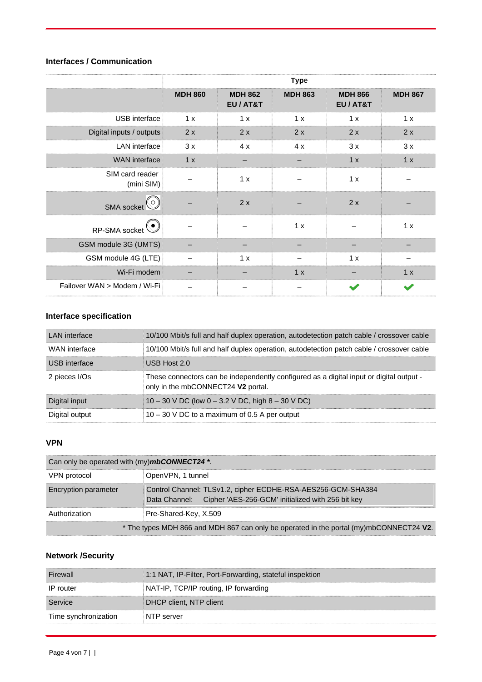# **Interfaces / Communication**

|                               | <b>Type</b>    |                             |                |                             |                |
|-------------------------------|----------------|-----------------------------|----------------|-----------------------------|----------------|
|                               | <b>MDH 860</b> | <b>MDH 862</b><br>EU / AT&T | <b>MDH 863</b> | <b>MDH 866</b><br>EU / AT&T | <b>MDH 867</b> |
| USB interface                 | 1 x            | 1 x                         | 1 x            | 1x                          | 1 x            |
| Digital inputs / outputs      | 2x             | 2x                          | 2x             | 2x                          | 2x             |
| <b>LAN</b> interface          | 3x             | 4x                          | 4x             | 3x                          | 3x             |
| <b>WAN</b> interface          | 1 x            |                             |                | 1x                          | 1x             |
| SIM card reader<br>(mini SIM) |                | 1x                          |                | 1 x                         |                |
| SMA socket <sup>(O)</sup>     |                | 2x                          |                | 2x                          |                |
| RP-SMA socket                 |                |                             | 1 x            |                             | 1 x            |
| GSM module 3G (UMTS)          |                |                             |                |                             |                |
| GSM module 4G (LTE)           |                | 1 x                         |                | 1x                          |                |
| Wi-Fi modem                   |                |                             | 1 x            |                             | 1 x            |
| Failover WAN > Modem / Wi-Fi  |                |                             |                |                             |                |

# **Interface specification**

| LAN interface  | 10/100 Mbit/s full and half duplex operation, autodetection patch cable / crossover cable                                     |
|----------------|-------------------------------------------------------------------------------------------------------------------------------|
| WAN interface  | 10/100 Mbit/s full and half duplex operation, autodetection patch cable / crossover cable                                     |
| USB interface  | USB Host $2.0$                                                                                                                |
| 2 pieces I/Os  | These connectors can be independently configured as a digital input or digital output -<br>only in the mbCONNECT24 V2 portal. |
| Digital input  | 10 – 30 V DC (low $0 - 3.2$ V DC, high $8 - 30$ V DC)                                                                         |
| Digital output | $10 - 30$ V DC to a maximum of 0.5 A per output                                                                               |

## **VPN**

| Can only be operated with (my) <b>mbCONNECT24</b> *.                                   |                                                                                                                                 |  |
|----------------------------------------------------------------------------------------|---------------------------------------------------------------------------------------------------------------------------------|--|
| VPN protocol                                                                           | OpenVPN, 1 tunnel                                                                                                               |  |
| <b>Encryption parameter</b>                                                            | Control Channel: TLSv1.2, cipher ECDHE-RSA-AES256-GCM-SHA384<br>Data Channel: Cipher 'AES-256-GCM' initialized with 256 bit key |  |
| Authorization                                                                          | Pre-Shared-Key, X.509                                                                                                           |  |
| * The types MDH 866 and MDH 867 can only be operated in the portal (my)mbCONNECT24 V2. |                                                                                                                                 |  |

## **Network /Security**

| Firewall             | 1:1 NAT, IP-Filter, Port-Forwarding, stateful inspektion |
|----------------------|----------------------------------------------------------|
| IP router            | NAT-IP, TCP/IP routing, IP forwarding                    |
| Service              | DHCP client, NTP client                                  |
| Time synchronization | NTP server                                               |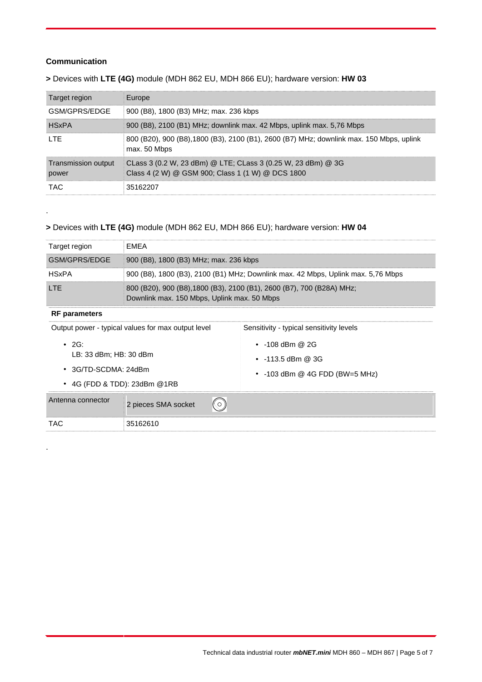#### **Communication**

**>** Devices with **LTE (4G)** module (MDH 862 EU, MDH 866 EU); hardware version: **HW 03**

| Target region                | Europe                                                                                                            |
|------------------------------|-------------------------------------------------------------------------------------------------------------------|
| GSM/GPRS/FDGF                | 900 (B8), 1800 (B3) MHz; max. 236 kbps                                                                            |
| <b>HSxPA</b>                 | 900 (B8), 2100 (B1) MHz; downlink max. 42 Mbps, uplink max. 5,76 Mbps                                             |
| I TF                         | 800 (B20), 900 (B8), 1800 (B3), 2100 (B1), 2600 (B7) MHz; downlink max. 150 Mbps, uplink<br>max. 50 Mbps          |
| Transmission output<br>power | CLass 3 (0.2 W, 23 dBm) @ LTE; CLass 3 (0.25 W, 23 dBm) @ 3G<br>Class 4 (2 W) @ GSM 900; Class 1 (1 W) @ DCS 1800 |
| TAC.                         | 35162207                                                                                                          |

#### **>** Devices with **LTE (4G)** module (MDH 862 EU, MDH 866 EU); hardware version: **HW 04**

| Target region | FMFA                                                                                                                 |
|---------------|----------------------------------------------------------------------------------------------------------------------|
| GSM/GPRS/FDGF | 900 (B8), 1800 (B3) MHz; max. 236 kbps                                                                               |
| <b>HSxPA</b>  | 900 (B8), 1800 (B3), 2100 (B1) MHz; Downlink max. 42 Mbps, Uplink max. 5,76 Mbps                                     |
| I TF          | 800 (B20), 900 (B8), 1800 (B3), 2100 (B1), 2600 (B7), 700 (B28A) MHz;<br>Downlink max. 150 Mbps, Uplink max. 50 Mbps |

#### **RF parameters**

.

.

| Output power - typical values for max output level                                                  |                     | Sensitivity - typical sensitivity levels                                                 |
|-----------------------------------------------------------------------------------------------------|---------------------|------------------------------------------------------------------------------------------|
| $\cdot$ 2G:<br>LB: 33 dBm; HB: 30 dBm<br>$\cdot$ 3G/TD-SCDMA: 24dBm<br>• 4G (FDD & TDD): 23dBm @1RB |                     | $\cdot$ -108 dBm @ 2G<br>$\cdot$ -113.5 dBm @ 3G<br>$\cdot$ -103 dBm @ 4G FDD (BW=5 MHz) |
| Antenna connector                                                                                   | 2 pieces SMA socket |                                                                                          |
| TAC                                                                                                 | 35162610            |                                                                                          |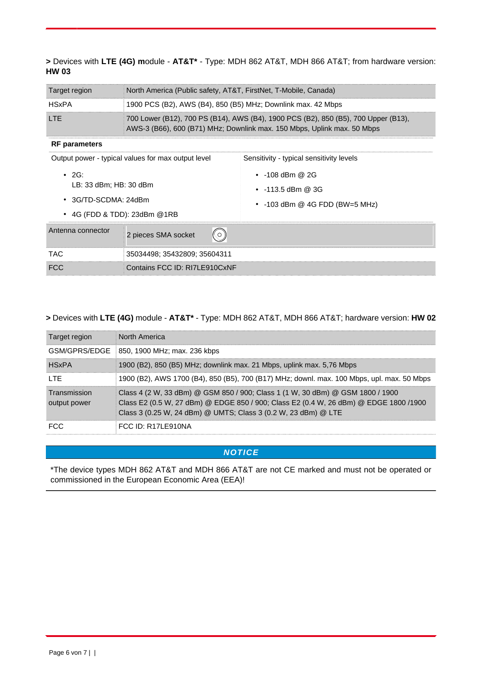#### **>** Devices with **LTE (4G) m**odule - **AT&T\*** - Type: MDH 862 AT&T, MDH 866 AT&T; from hardware version: **HW 03**

| Target region                                                                                      | North America (Public safety, AT&T, FirstNet, T-Mobile, Canada)                                                                                               |                                                                                          |  |
|----------------------------------------------------------------------------------------------------|---------------------------------------------------------------------------------------------------------------------------------------------------------------|------------------------------------------------------------------------------------------|--|
| <b>HSxPA</b>                                                                                       | 1900 PCS (B2), AWS (B4), 850 (B5) MHz; Downlink max. 42 Mbps                                                                                                  |                                                                                          |  |
| <b>LTE</b>                                                                                         | 700 Lower (B12), 700 PS (B14), AWS (B4), 1900 PCS (B2), 850 (B5), 700 Upper (B13),<br>AWS-3 (B66), 600 (B71) MHz; Downlink max. 150 Mbps, Uplink max. 50 Mbps |                                                                                          |  |
| <b>RF</b> parameters                                                                               |                                                                                                                                                               |                                                                                          |  |
| Output power - typical values for max output level                                                 |                                                                                                                                                               | Sensitivity - typical sensitivity levels                                                 |  |
| .2G:<br>LB: 33 dBm: HB: 30 dBm<br>$\cdot$ 3G/TD-SCDMA: 24dBm<br>$\cdot$ 4G (FDD & TDD): 23dBm @1RB |                                                                                                                                                               | $\cdot$ -108 dBm @ 2G<br>$\cdot$ -113.5 dBm @ 3G<br>$\cdot$ -103 dBm @ 4G FDD (BW=5 MHz) |  |
| Antenna connector                                                                                  | 2 pieces SMA socket                                                                                                                                           |                                                                                          |  |

# **>** Devices with **LTE (4G)** module - **AT&T\*** - Type: MDH 862 AT&T, MDH 866 AT&T; hardware version: **HW 02**

TAC 35034498; 35432809; 35604311 FCC Contains FCC ID: RI7LE910CxNF

| Target region                | <b>North America</b>                                                                                                                                                                                                                      |
|------------------------------|-------------------------------------------------------------------------------------------------------------------------------------------------------------------------------------------------------------------------------------------|
| GSM/GPRS/EDGE                | 850, 1900 MHz; max. 236 kbps                                                                                                                                                                                                              |
| <b>HSxPA</b>                 | 1900 (B2), 850 (B5) MHz; downlink max. 21 Mbps, uplink max. 5,76 Mbps                                                                                                                                                                     |
| I TF                         | 1900 (B2), AWS 1700 (B4), 850 (B5), 700 (B17) MHz; downl. max. 100 Mbps, upl. max. 50 Mbps                                                                                                                                                |
| Transmission<br>output power | Class 4 (2 W, 33 dBm) @ GSM 850 / 900; Class 1 (1 W, 30 dBm) @ GSM 1800 / 1900<br>Class E2 (0.5 W, 27 dBm) @ EDGE 850 / 900; Class E2 (0.4 W, 26 dBm) @ EDGE 1800 /1900<br>Class 3 (0.25 W, 24 dBm) @ UMTS; Class 3 (0.2 W, 23 dBm) @ LTE |
| FCC.                         | $FCC$ ID: R17LE910NA                                                                                                                                                                                                                      |

#### **NOTICE**

\*The device types MDH 862 AT&T and MDH 866 AT&T are not CE marked and must not be operated or commissioned in the European Economic Area (EEA)!